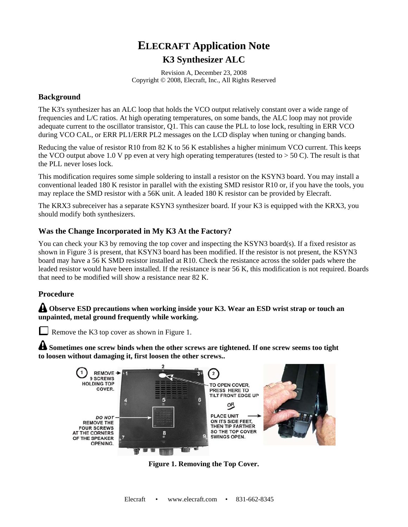## **ELECRAFT Application Note K3 Synthesizer ALC**

Revision A, December 23, 2008 Copyright © 2008, Elecraft, Inc., All Rights Reserved

## **Background**

The K3's synthesizer has an ALC loop that holds the VCO output relatively constant over a wide range of frequencies and L/C ratios. At high operating temperatures, on some bands, the ALC loop may not provide adequate current to the oscillator transistor, Q1. This can cause the PLL to lose lock, resulting in ERR VCO during VCO CAL, or ERR PL1/ERR PL2 messages on the LCD display when tuning or changing bands.

Reducing the value of resistor R10 from 82 K to 56 K establishes a higher minimum VCO current. This keeps the VCO output above 1.0 V pp even at very high operating temperatures (tested to  $> 50$  C). The result is that the PLL never loses lock.

This modification requires some simple soldering to install a resistor on the KSYN3 board. You may install a conventional leaded 180 K resistor in parallel with the existing SMD resistor R10 or, if you have the tools, you may replace the SMD resistor with a 56K unit. A leaded 180 K resistor can be provided by Elecraft.

The KRX3 subreceiver has a separate KSYN3 synthesizer board. If your K3 is equipped with the KRX3, you should modify both synthesizers.

## **Was the Change Incorporated in My K3 At the Factory?**

You can check your K3 by removing the top cover and inspecting the KSYN3 board(s). If a fixed resistor as shown in Figure 3 is present, that KSYN3 board has been modified. If the resistor is not present, the KSYN3 board may have a 56 K SMD resistor installed at R10. Check the resistance across the solder pads where the leaded resistor would have been installed. If the resistance is near 56 K, this modification is not required. Boards that need to be modified will show a resistance near 82 K.

## **Procedure**

**Observe ESD precautions when working inside your K3. Wear an ESD wrist strap or touch an unpainted, metal ground frequently while working.** 

Remove the K3 top cover as shown in Figure 1.

**Sometimes one screw binds when the other screws are tightened. If one screw seems too tight to loosen without damaging it, first loosen the other screws..** 



**Figure 1. Removing the Top Cover.**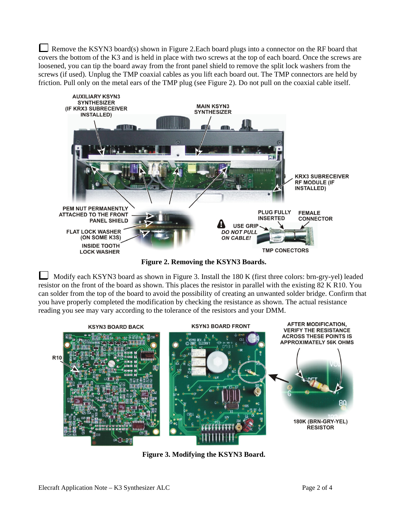Remove the KSYN3 board(s) shown in Figure 2.Each board plugs into a connector on the RF board that covers the bottom of the K3 and is held in place with two screws at the top of each board. Once the screws are loosened, you can tip the board away from the front panel shield to remove the split lock washers from the screws (if used). Unplug the TMP coaxial cables as you lift each board out. The TMP connectors are held by friction. Pull only on the metal ears of the TMP plug (see Figure 2). Do not pull on the coaxial cable itself.



**Figure 2. Removing the KSYN3 Boards.** 

 Modify each KSYN3 board as shown in Figure 3. Install the 180 K (first three colors: brn-gry-yel) leaded resistor on the front of the board as shown. This places the resistor in parallel with the existing 82 K R10. You can solder from the top of the board to avoid the possibility of creating an unwanted solder bridge. Confirm that you have properly completed the modification by checking the resistance as shown. The actual resistance reading you see may vary according to the tolerance of the resistors and your DMM.



**Figure 3. Modifying the KSYN3 Board.**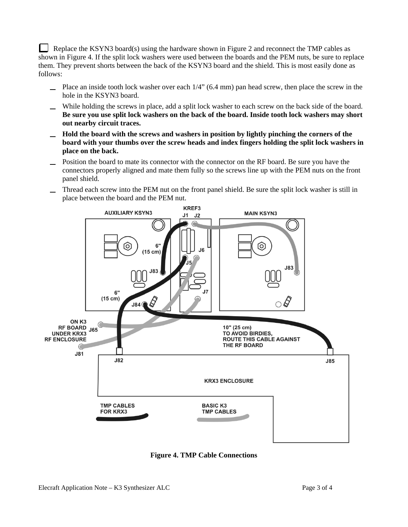Replace the KSYN3 board(s) using the hardware shown in Figure 2 and reconnect the TMP cables as shown in Figure 4. If the split lock washers were used between the boards and the PEM nuts, be sure to replace them. They prevent shorts between the back of the KSYN3 board and the shield. This is most easily done as follows:

- Place an inside tooth lock washer over each 1/4" (6.4 mm) pan head screw, then place the screw in the hole in the KSYN3 board.
- While holding the screws in place, add a split lock washer to each screw on the back side of the board. **Be sure you use split lock washers on the back of the board. Inside tooth lock washers may short out nearby circuit traces.**
- **Hold the board with the screws and washers in position by lightly pinching the corners of the board with your thumbs over the screw heads and index fingers holding the split lock washers in place on the back.**
- Position the board to mate its connector with the connector on the RF board. Be sure you have the connectors properly aligned and mate them fully so the screws line up with the PEM nuts on the front panel shield.
- Thread each screw into the PEM nut on the front panel shield. Be sure the split lock washer is still in place between the board and the PEM nut.



**Figure 4. TMP Cable Connections**